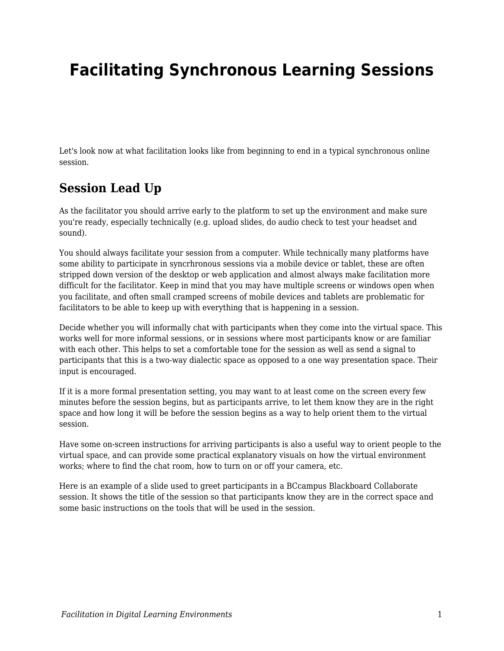# **Facilitating Synchronous Learning Sessions**

Let's look now at what facilitation looks like from beginning to end in a typical synchronous online session.

## **Session Lead Up**

As the facilitator you should arrive early to the platform to set up the environment and make sure you're ready, especially technically (e.g. upload slides, do audio check to test your headset and sound).

You should always facilitate your session from a computer. While technically many platforms have some ability to participate in syncrhronous sessions via a mobile device or tablet, these are often stripped down version of the desktop or web application and almost always make facilitation more difficult for the facilitator. Keep in mind that you may have multiple screens or windows open when you facilitate, and often small cramped screens of mobile devices and tablets are problematic for facilitators to be able to keep up with everything that is happening in a session.

Decide whether you will informally chat with participants when they come into the virtual space. This works well for more informal sessions, or in sessions where most participants know or are familiar with each other. This helps to set a comfortable tone for the session as well as send a signal to participants that this is a two-way dialectic space as opposed to a one way presentation space. Their input is encouraged.

If it is a more formal presentation setting, you may want to at least come on the screen every few minutes before the session begins, but as participants arrive, to let them know they are in the right space and how long it will be before the session begins as a way to help orient them to the virtual session.

Have some on-screen instructions for arriving participants is also a useful way to orient people to the virtual space, and can provide some practical explanatory visuals on how the virtual environment works; where to find the chat room, how to turn on or off your camera, etc.

Here is an example of a slide used to greet participants in a BCcampus Blackboard Collaborate session. It shows the title of the session so that participants know they are in the correct space and some basic instructions on the tools that will be used in the session.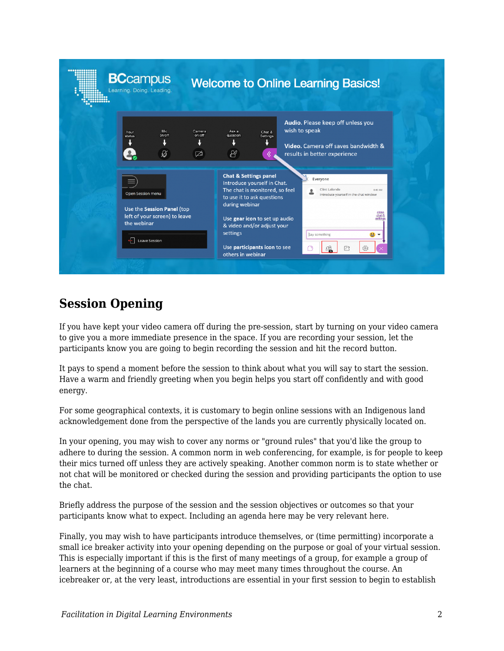| <b>BCcampus</b><br>Learning. Doing. Leading.                                                           |                       |                                                                                                                                                                                                                              | <b>Welcome to Online Learning Basics!</b>                                                                                                                   |
|--------------------------------------------------------------------------------------------------------|-----------------------|------------------------------------------------------------------------------------------------------------------------------------------------------------------------------------------------------------------------------|-------------------------------------------------------------------------------------------------------------------------------------------------------------|
| Mic<br>Your<br>on/off<br>status<br>$\varnothing$                                                       | Camera<br>on/off<br>囜 | Ask a<br>question<br>$\beta'$                                                                                                                                                                                                | Audio. Please keep off unless you<br>wish to speak<br>Chat &<br><b>Settings</b><br>Video. Camera off saves bandwidth &<br>results in better experience<br>《 |
| <b>Open Session menu</b><br>Use the Session Panel (top<br>left of your screen) to leave<br>the webinar |                       | <b>Chat &amp; Settings panel</b><br>Introduce yourself in Chat.<br>The chat is monitored, so feel<br>to use it to ask questions<br>during webinar<br>Use gear icon to set up audio<br>& video and/or adjust your<br>settings | Everyone<br>Clint Lalonde<br>8:40 AM<br>Introduce vourself in the chat window<br>$rac{\text{close}}{\text{chat 8}}$<br>settings<br>Say something            |
| $\leftarrow$<br>Leave Session                                                                          |                       | Use participants icon to see<br>others in webinar                                                                                                                                                                            | $\overrightarrow{C}$<br>íō,                                                                                                                                 |

## **Session Opening**

If you have kept your video camera off during the pre-session, start by turning on your video camera to give you a more immediate presence in the space. If you are recording your session, let the participants know you are going to begin recording the session and hit the record button.

It pays to spend a moment before the session to think about what you will say to start the session. Have a warm and friendly greeting when you begin helps you start off confidently and with good energy.

For some geographical contexts, it is customary to begin online sessions with an Indigenous land acknowledgement done from the perspective of the lands you are currently physically located on.

In your opening, you may wish to cover any norms or "ground rules" that you'd like the group to adhere to during the session. A common norm in web conferencing, for example, is for people to keep their mics turned off unless they are actively speaking. Another common norm is to state whether or not chat will be monitored or checked during the session and providing participants the option to use the chat.

Briefly address the purpose of the session and the session objectives or outcomes so that your participants know what to expect. Including an agenda here may be very relevant here.

Finally, you may wish to have participants introduce themselves, or (time permitting) incorporate a small ice breaker activity into your opening depending on the purpose or goal of your virtual session. This is especially important if this is the first of many meetings of a group, for example a group of learners at the beginning of a course who may meet many times throughout the course. An icebreaker or, at the very least, introductions are essential in your first session to begin to establish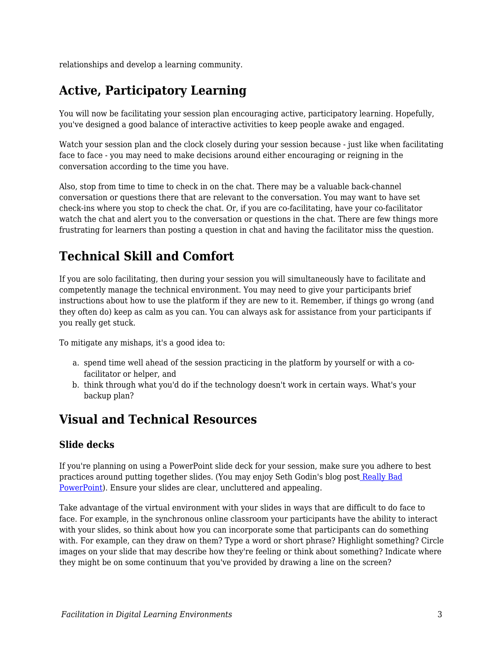relationships and develop a learning community.

# **Active, Participatory Learning**

You will now be facilitating your session plan encouraging active, participatory learning. Hopefully, you've designed a good balance of interactive activities to keep people awake and engaged.

Watch your session plan and the clock closely during your session because - just like when facilitating face to face - you may need to make decisions around either encouraging or reigning in the conversation according to the time you have.

Also, stop from time to time to check in on the chat. There may be a valuable back-channel conversation or questions there that are relevant to the conversation. You may want to have set check-ins where you stop to check the chat. Or, if you are co-facilitating, have your co-facilitator watch the chat and alert you to the conversation or questions in the chat. There are few things more frustrating for learners than posting a question in chat and having the facilitator miss the question.

# **Technical Skill and Comfort**

If you are solo facilitating, then during your session you will simultaneously have to facilitate and competently manage the technical environment. You may need to give your participants brief instructions about how to use the platform if they are new to it. Remember, if things go wrong (and they often do) keep as calm as you can. You can always ask for assistance from your participants if you really get stuck.

To mitigate any mishaps, it's a good idea to:

- a. spend time well ahead of the session practicing in the platform by yourself or with a cofacilitator or helper, and
- b. think through what you'd do if the technology doesn't work in certain ways. What's your backup plan?

### **Visual and Technical Resources**

#### **Slide decks**

If you're planning on using a PowerPoint slide deck for your session, make sure you adhere to best practices around putting together slides. (You may enjoy Seth Godin's blog pos[t](http://sethgodin.typepad.com/seths_blog/2007/01/really_bad_powe.html) [Really Bad](http://sethgodin.typepad.com/seths_blog/2007/01/really_bad_powe.html) [PowerPoint\)](http://sethgodin.typepad.com/seths_blog/2007/01/really_bad_powe.html). Ensure your slides are clear, uncluttered and appealing.

Take advantage of the virtual environment with your slides in ways that are difficult to do face to face. For example, in the synchronous online classroom your participants have the ability to interact with your slides, so think about how you can incorporate some that participants can do something with. For example, can they draw on them? Type a word or short phrase? Highlight something? Circle images on your slide that may describe how they're feeling or think about something? Indicate where they might be on some continuum that you've provided by drawing a line on the screen?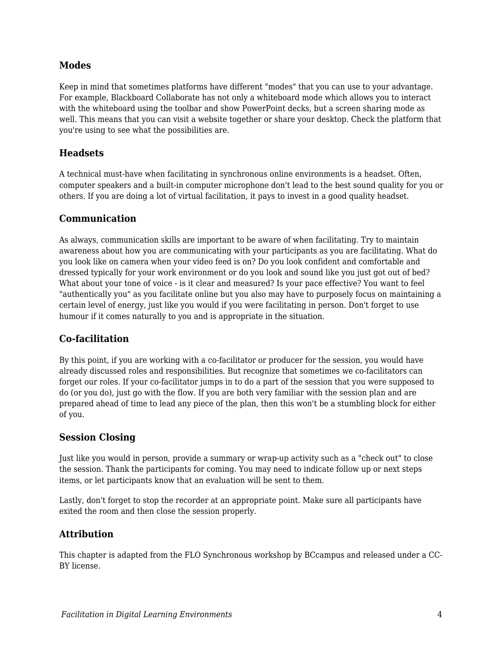#### **Modes**

Keep in mind that sometimes platforms have different "modes" that you can use to your advantage. For example, Blackboard Collaborate has not only a whiteboard mode which allows you to interact with the whiteboard using the toolbar and show PowerPoint decks, but a screen sharing mode as well. This means that you can visit a website together or share your desktop. Check the platform that you're using to see what the possibilities are.

#### **Headsets**

A technical must-have when facilitating in synchronous online environments is a headset. Often, computer speakers and a built-in computer microphone don't lead to the best sound quality for you or others. If you are doing a lot of virtual facilitation, it pays to invest in a good quality headset.

#### **Communication**

As always, communication skills are important to be aware of when facilitating. Try to maintain awareness about how you are communicating with your participants as you are facilitating. What do you look like on camera when your video feed is on? Do you look confident and comfortable and dressed typically for your work environment or do you look and sound like you just got out of bed? What about your tone of voice - is it clear and measured? Is your pace effective? You want to feel "authentically you" as you facilitate online but you also may have to purposely focus on maintaining a certain level of energy, just like you would if you were facilitating in person. Don't forget to use humour if it comes naturally to you and is appropriate in the situation.

#### **Co-facilitation**

By this point, if you are working with a co-facilitator or producer for the session, you would have already discussed roles and responsibilities. But recognize that sometimes we co-facilitators can forget our roles. If your co-facilitator jumps in to do a part of the session that you were supposed to do (or you do), just go with the flow. If you are both very familiar with the session plan and are prepared ahead of time to lead any piece of the plan, then this won't be a stumbling block for either of you.

#### **Session Closing**

Just like you would in person, provide a summary or wrap-up activity such as a "check out" to close the session. Thank the participants for coming. You may need to indicate follow up or next steps items, or let participants know that an evaluation will be sent to them.

Lastly, don't forget to stop the recorder at an appropriate point. Make sure all participants have exited the room and then close the session properly.

#### **Attribution**

This chapter is adapted from the FLO Synchronous workshop by BCcampus and released under a CC-BY license.